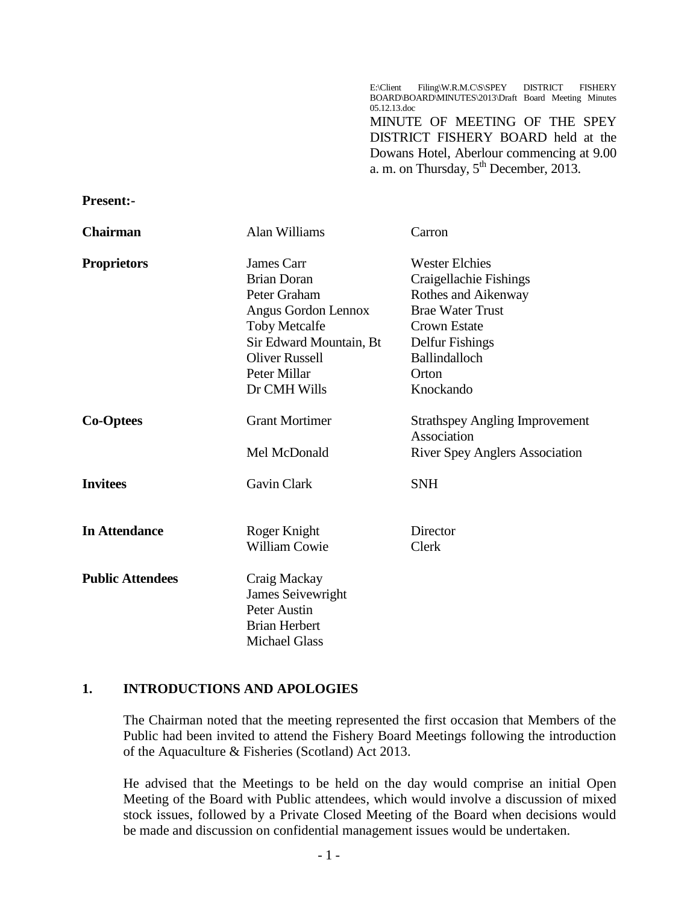E:\Client Filing\W.R.M.C\S\SPEY DISTRICT FISHERY BOARD\BOARD\MINUTES\2013\Draft Board Meeting Minutes 05.12.13.doc

MINUTE OF MEETING OF THE SPEY DISTRICT FISHERY BOARD held at the Dowans Hotel, Aberlour commencing at 9.00 a. m. on Thursday,  $5^{th}$  December, 2013.

#### **Present:-**

| <b>Chairman</b>         | Alan Williams            | Carron                                |
|-------------------------|--------------------------|---------------------------------------|
| <b>Proprietors</b>      | James Carr               | <b>Wester Elchies</b>                 |
|                         | <b>Brian Doran</b>       | Craigellachie Fishings                |
|                         | Peter Graham             | Rothes and Aikenway                   |
|                         | Angus Gordon Lennox      | <b>Brae Water Trust</b>               |
|                         | <b>Toby Metcalfe</b>     | <b>Crown Estate</b>                   |
|                         | Sir Edward Mountain, Bt  | Delfur Fishings                       |
|                         | <b>Oliver Russell</b>    | Ballindalloch                         |
|                         | Peter Millar             | Orton                                 |
|                         | Dr CMH Wills             | Knockando                             |
| <b>Co-Optees</b>        | <b>Grant Mortimer</b>    | <b>Strathspey Angling Improvement</b> |
|                         |                          | Association                           |
|                         | Mel McDonald             | <b>River Spey Anglers Association</b> |
| <b>Invitees</b>         | Gavin Clark              | <b>SNH</b>                            |
| <b>In Attendance</b>    | Roger Knight             | Director                              |
|                         | <b>William Cowie</b>     | Clerk                                 |
| <b>Public Attendees</b> | Craig Mackay             |                                       |
|                         | <b>James Seivewright</b> |                                       |
|                         | Peter Austin             |                                       |
|                         | <b>Brian Herbert</b>     |                                       |
|                         | <b>Michael Glass</b>     |                                       |

#### **1. INTRODUCTIONS AND APOLOGIES**

The Chairman noted that the meeting represented the first occasion that Members of the Public had been invited to attend the Fishery Board Meetings following the introduction of the Aquaculture & Fisheries (Scotland) Act 2013.

He advised that the Meetings to be held on the day would comprise an initial Open Meeting of the Board with Public attendees, which would involve a discussion of mixed stock issues, followed by a Private Closed Meeting of the Board when decisions would be made and discussion on confidential management issues would be undertaken.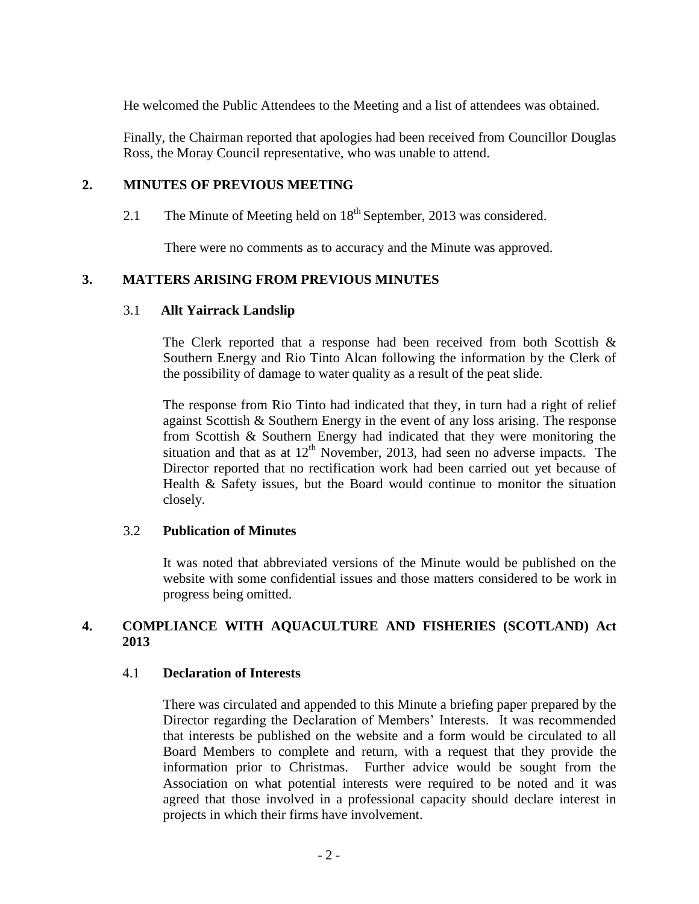He welcomed the Public Attendees to the Meeting and a list of attendees was obtained.

Finally, the Chairman reported that apologies had been received from Councillor Douglas Ross, the Moray Council representative, who was unable to attend.

### **2. MINUTES OF PREVIOUS MEETING**

2.1 The Minute of Meeting held on  $18<sup>th</sup>$  September, 2013 was considered.

There were no comments as to accuracy and the Minute was approved.

# **3. MATTERS ARISING FROM PREVIOUS MINUTES**

#### 3.1 **Allt Yairrack Landslip**

The Clerk reported that a response had been received from both Scottish  $\&$ Southern Energy and Rio Tinto Alcan following the information by the Clerk of the possibility of damage to water quality as a result of the peat slide.

The response from Rio Tinto had indicated that they, in turn had a right of relief against Scottish & Southern Energy in the event of any loss arising. The response from Scottish & Southern Energy had indicated that they were monitoring the situation and that as at  $12<sup>th</sup>$  November, 2013, had seen no adverse impacts. The Director reported that no rectification work had been carried out yet because of Health & Safety issues, but the Board would continue to monitor the situation closely.

#### 3.2 **Publication of Minutes**

It was noted that abbreviated versions of the Minute would be published on the website with some confidential issues and those matters considered to be work in progress being omitted.

# **4. COMPLIANCE WITH AQUACULTURE AND FISHERIES (SCOTLAND) Act 2013**

#### 4.1 **Declaration of Interests**

There was circulated and appended to this Minute a briefing paper prepared by the Director regarding the Declaration of Members' Interests. It was recommended that interests be published on the website and a form would be circulated to all Board Members to complete and return, with a request that they provide the information prior to Christmas. Further advice would be sought from the Association on what potential interests were required to be noted and it was agreed that those involved in a professional capacity should declare interest in projects in which their firms have involvement.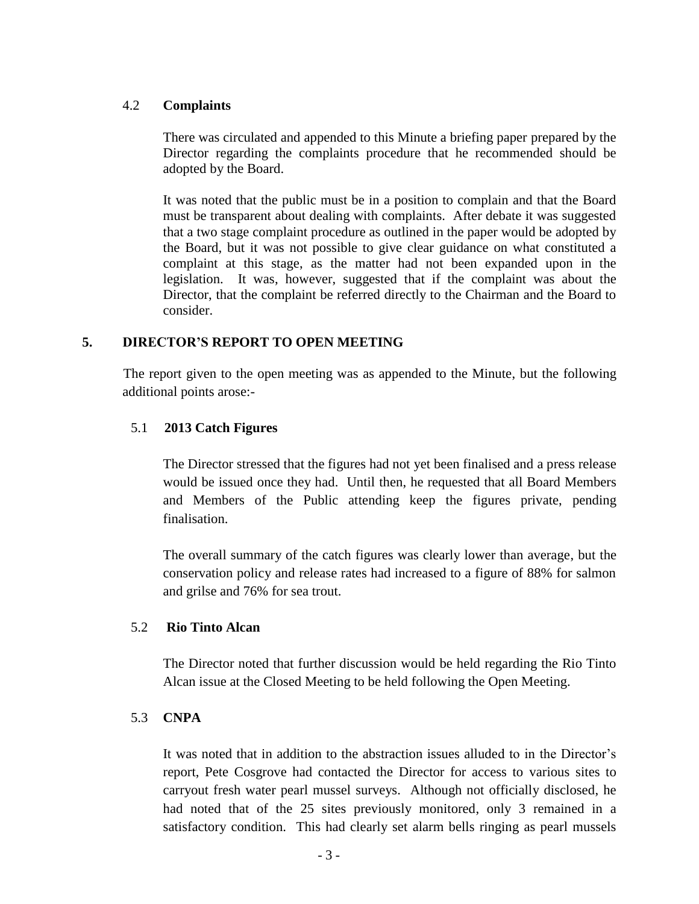### 4.2 **Complaints**

There was circulated and appended to this Minute a briefing paper prepared by the Director regarding the complaints procedure that he recommended should be adopted by the Board.

It was noted that the public must be in a position to complain and that the Board must be transparent about dealing with complaints. After debate it was suggested that a two stage complaint procedure as outlined in the paper would be adopted by the Board, but it was not possible to give clear guidance on what constituted a complaint at this stage, as the matter had not been expanded upon in the legislation. It was, however, suggested that if the complaint was about the Director, that the complaint be referred directly to the Chairman and the Board to consider.

# **5. DIRECTOR'S REPORT TO OPEN MEETING**

The report given to the open meeting was as appended to the Minute, but the following additional points arose:-

# 5.1 **2013 Catch Figures**

The Director stressed that the figures had not yet been finalised and a press release would be issued once they had. Until then, he requested that all Board Members and Members of the Public attending keep the figures private, pending finalisation.

The overall summary of the catch figures was clearly lower than average, but the conservation policy and release rates had increased to a figure of 88% for salmon and grilse and 76% for sea trout.

# 5.2 **Rio Tinto Alcan**

The Director noted that further discussion would be held regarding the Rio Tinto Alcan issue at the Closed Meeting to be held following the Open Meeting.

# 5.3 **CNPA**

It was noted that in addition to the abstraction issues alluded to in the Director's report, Pete Cosgrove had contacted the Director for access to various sites to carryout fresh water pearl mussel surveys. Although not officially disclosed, he had noted that of the 25 sites previously monitored, only 3 remained in a satisfactory condition. This had clearly set alarm bells ringing as pearl mussels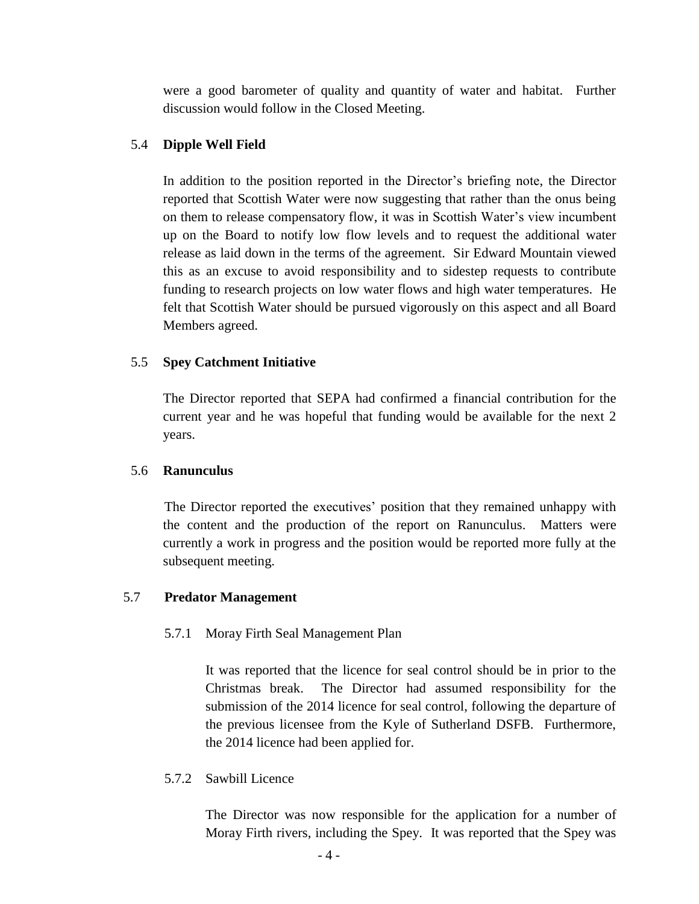were a good barometer of quality and quantity of water and habitat. Further discussion would follow in the Closed Meeting.

### 5.4 **Dipple Well Field**

In addition to the position reported in the Director's briefing note, the Director reported that Scottish Water were now suggesting that rather than the onus being on them to release compensatory flow, it was in Scottish Water's view incumbent up on the Board to notify low flow levels and to request the additional water release as laid down in the terms of the agreement. Sir Edward Mountain viewed this as an excuse to avoid responsibility and to sidestep requests to contribute funding to research projects on low water flows and high water temperatures. He felt that Scottish Water should be pursued vigorously on this aspect and all Board Members agreed.

### 5.5 **Spey Catchment Initiative**

The Director reported that SEPA had confirmed a financial contribution for the current year and he was hopeful that funding would be available for the next 2 years.

#### 5.6 **Ranunculus**

The Director reported the executives' position that they remained unhappy with the content and the production of the report on Ranunculus. Matters were currently a work in progress and the position would be reported more fully at the subsequent meeting.

#### 5.7 **Predator Management**

# 5.7.1 Moray Firth Seal Management Plan

It was reported that the licence for seal control should be in prior to the Christmas break. The Director had assumed responsibility for the submission of the 2014 licence for seal control, following the departure of the previous licensee from the Kyle of Sutherland DSFB. Furthermore, the 2014 licence had been applied for.

5.7.2 Sawbill Licence

The Director was now responsible for the application for a number of Moray Firth rivers, including the Spey. It was reported that the Spey was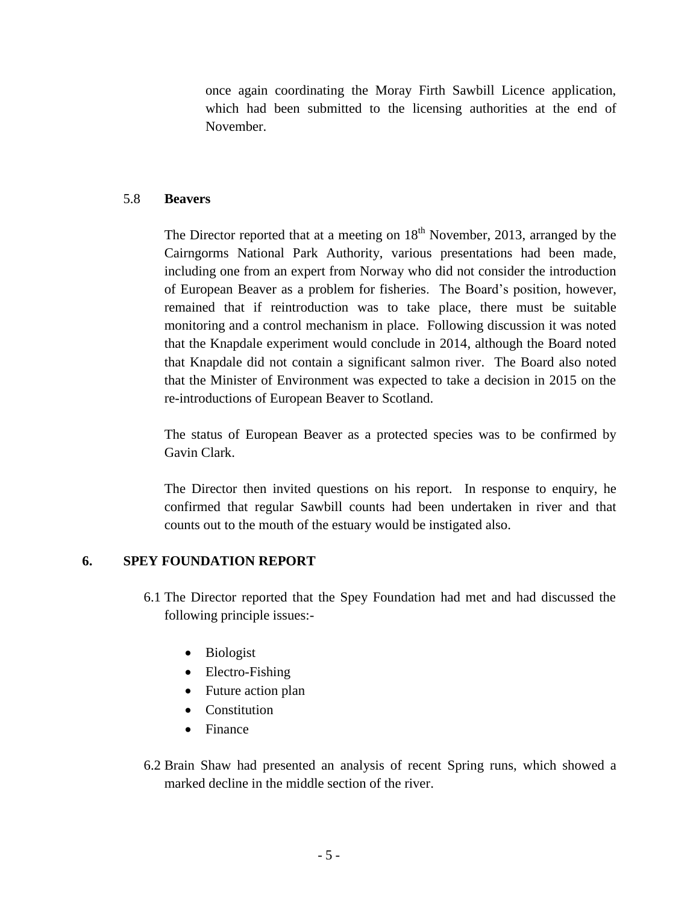once again coordinating the Moray Firth Sawbill Licence application, which had been submitted to the licensing authorities at the end of November.

### 5.8 **Beavers**

The Director reported that at a meeting on  $18<sup>th</sup>$  November, 2013, arranged by the Cairngorms National Park Authority, various presentations had been made, including one from an expert from Norway who did not consider the introduction of European Beaver as a problem for fisheries. The Board's position, however, remained that if reintroduction was to take place, there must be suitable monitoring and a control mechanism in place. Following discussion it was noted that the Knapdale experiment would conclude in 2014, although the Board noted that Knapdale did not contain a significant salmon river. The Board also noted that the Minister of Environment was expected to take a decision in 2015 on the re-introductions of European Beaver to Scotland.

The status of European Beaver as a protected species was to be confirmed by Gavin Clark.

The Director then invited questions on his report. In response to enquiry, he confirmed that regular Sawbill counts had been undertaken in river and that counts out to the mouth of the estuary would be instigated also.

# **6. SPEY FOUNDATION REPORT**

- 6.1 The Director reported that the Spey Foundation had met and had discussed the following principle issues:-
	- Biologist
	- Electro-Fishing
	- Future action plan
	- Constitution
	- Finance
- 6.2 Brain Shaw had presented an analysis of recent Spring runs, which showed a marked decline in the middle section of the river.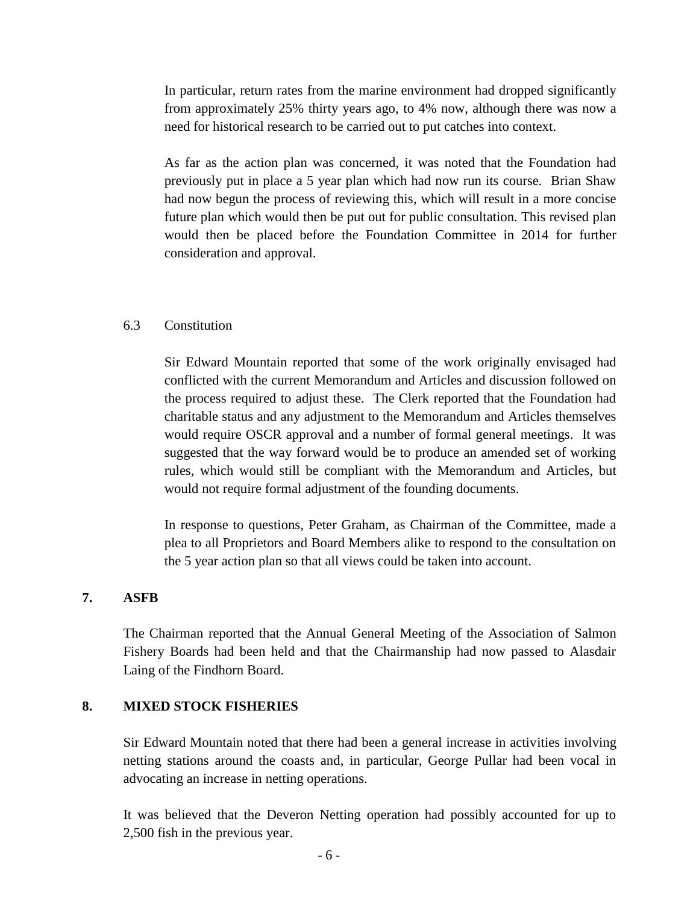In particular, return rates from the marine environment had dropped significantly from approximately 25% thirty years ago, to 4% now, although there was now a need for historical research to be carried out to put catches into context.

As far as the action plan was concerned, it was noted that the Foundation had previously put in place a 5 year plan which had now run its course. Brian Shaw had now begun the process of reviewing this, which will result in a more concise future plan which would then be put out for public consultation. This revised plan would then be placed before the Foundation Committee in 2014 for further consideration and approval.

#### 6.3 Constitution

Sir Edward Mountain reported that some of the work originally envisaged had conflicted with the current Memorandum and Articles and discussion followed on the process required to adjust these. The Clerk reported that the Foundation had charitable status and any adjustment to the Memorandum and Articles themselves would require OSCR approval and a number of formal general meetings. It was suggested that the way forward would be to produce an amended set of working rules, which would still be compliant with the Memorandum and Articles, but would not require formal adjustment of the founding documents.

In response to questions, Peter Graham, as Chairman of the Committee, made a plea to all Proprietors and Board Members alike to respond to the consultation on the 5 year action plan so that all views could be taken into account.

#### **7. ASFB**

The Chairman reported that the Annual General Meeting of the Association of Salmon Fishery Boards had been held and that the Chairmanship had now passed to Alasdair Laing of the Findhorn Board.

#### **8. MIXED STOCK FISHERIES**

Sir Edward Mountain noted that there had been a general increase in activities involving netting stations around the coasts and, in particular, George Pullar had been vocal in advocating an increase in netting operations.

It was believed that the Deveron Netting operation had possibly accounted for up to 2,500 fish in the previous year.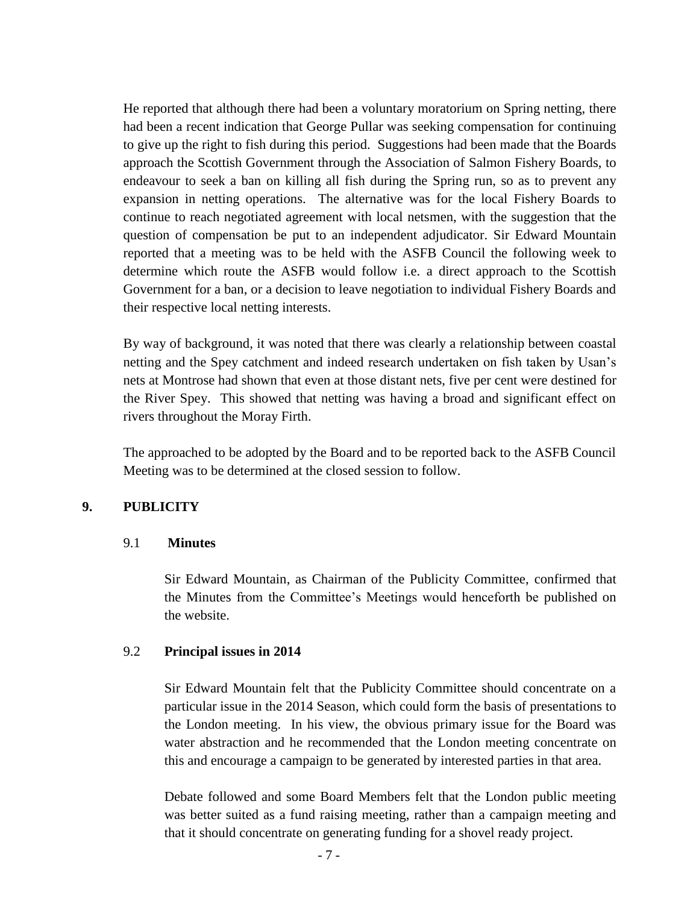He reported that although there had been a voluntary moratorium on Spring netting, there had been a recent indication that George Pullar was seeking compensation for continuing to give up the right to fish during this period. Suggestions had been made that the Boards approach the Scottish Government through the Association of Salmon Fishery Boards, to endeavour to seek a ban on killing all fish during the Spring run, so as to prevent any expansion in netting operations. The alternative was for the local Fishery Boards to continue to reach negotiated agreement with local netsmen, with the suggestion that the question of compensation be put to an independent adjudicator. Sir Edward Mountain reported that a meeting was to be held with the ASFB Council the following week to determine which route the ASFB would follow i.e. a direct approach to the Scottish Government for a ban, or a decision to leave negotiation to individual Fishery Boards and their respective local netting interests.

By way of background, it was noted that there was clearly a relationship between coastal netting and the Spey catchment and indeed research undertaken on fish taken by Usan's nets at Montrose had shown that even at those distant nets, five per cent were destined for the River Spey. This showed that netting was having a broad and significant effect on rivers throughout the Moray Firth.

The approached to be adopted by the Board and to be reported back to the ASFB Council Meeting was to be determined at the closed session to follow.

# **9. PUBLICITY**

#### 9.1 **Minutes**

Sir Edward Mountain, as Chairman of the Publicity Committee, confirmed that the Minutes from the Committee's Meetings would henceforth be published on the website.

#### 9.2 **Principal issues in 2014**

Sir Edward Mountain felt that the Publicity Committee should concentrate on a particular issue in the 2014 Season, which could form the basis of presentations to the London meeting. In his view, the obvious primary issue for the Board was water abstraction and he recommended that the London meeting concentrate on this and encourage a campaign to be generated by interested parties in that area.

Debate followed and some Board Members felt that the London public meeting was better suited as a fund raising meeting, rather than a campaign meeting and that it should concentrate on generating funding for a shovel ready project.